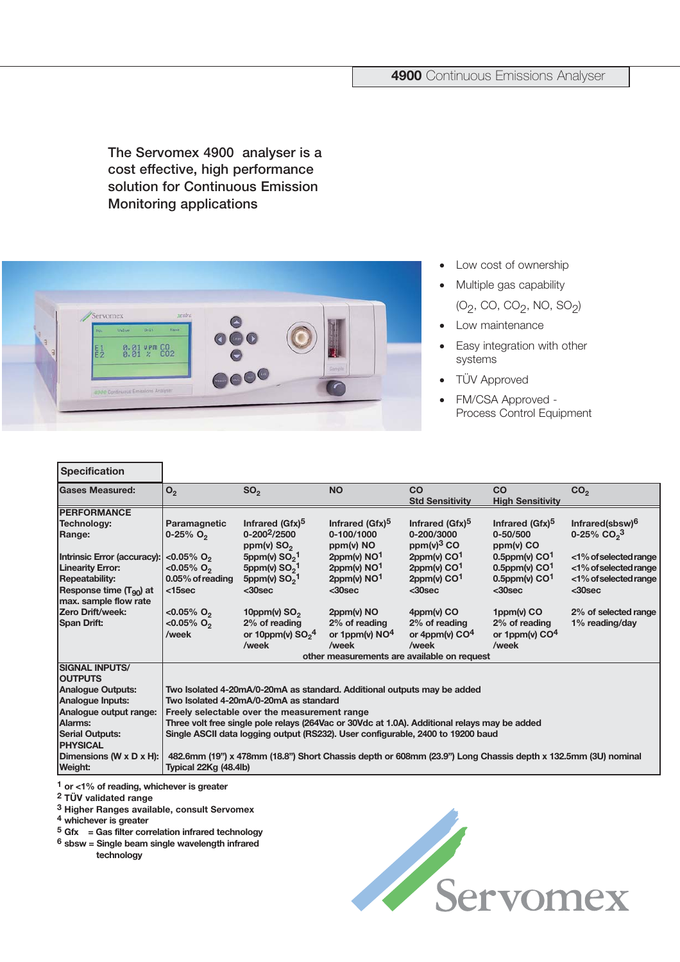## **4900** Continuous Emissions Analyser

**The Servomex 4900 analyser is a cost effective, high performance solution for Continuous Emission Monitoring applications**



- Low cost of ownership
- Multiple gas capability (O<sub>2</sub>, CO, CO<sub>2</sub>, NO, SO<sub>2</sub>)
- Low maintenance
- Easy integration with other systems
- TÜV Approved
- FM/CSA Approved Process Control Equipment

| <b>Specification</b>                                 |                                                                                                              |                                     |                                   |                                      |                                   |                             |
|------------------------------------------------------|--------------------------------------------------------------------------------------------------------------|-------------------------------------|-----------------------------------|--------------------------------------|-----------------------------------|-----------------------------|
| <b>Gases Measured:</b>                               | O <sub>2</sub>                                                                                               | SO <sub>2</sub>                     | <b>NO</b>                         | CO                                   | CO                                | CO <sub>2</sub>             |
|                                                      |                                                                                                              |                                     |                                   | <b>Std Sensitivity</b>               | <b>High Sensitivity</b>           |                             |
| <b>PERFORMANCE</b>                                   |                                                                                                              |                                     |                                   |                                      |                                   |                             |
| Technology:                                          | Paramagnetic                                                                                                 | Infrared (Gfx) <sup>5</sup>         | Infrared (Gfx) <sup>5</sup>       | Infrared (Gfx) <sup>5</sup>          | Infrared (Gfx) <sup>5</sup>       | Infrared(sbsw) <sup>6</sup> |
| Range:                                               | $0 - 25\%$ O <sub>2</sub>                                                                                    | $0 - 200^2 / 2500$<br>ppm(v) $SO2$  | 0-100/1000<br>$ppm(v)$ NO         | 0-200/3000<br>ppm(v) <sup>3</sup> CO | $0 - 50/500$<br>$ppm(v)$ CO       | 0-25% $CO2$ <sup>3</sup>    |
| Intrinsic Error (accuracy):                          | $< 0.05\%$ O <sub>2</sub>                                                                                    | 5ppm(v) $SO2$ <sup>1</sup>          | 2ppm(v) $NO1$                     | $2ppm(v)$ CO <sup>1</sup>            | $0.5$ ppm(v) $CO1$                | <1% of selected range       |
| <b>Linearity Error:</b>                              | <0.05% $O_2$                                                                                                 | 5ppm(v) $SO_2$ <sup>1</sup>         | $2ppm(v)$ NO <sup>1</sup>         | $2ppm(v)$ CO <sup>1</sup>            | $0.5$ ppm(v) $CO1$                | <1% of selected range       |
| <b>Repeatability:</b>                                | 0.05% of reading                                                                                             | 5ppm(v) $SO21$                      | $2$ ppm(v) $NO1$                  | $2$ ppm(v) CO <sup>1</sup>           | $0.5$ ppm(v) $CO1$                | <1% of selected range       |
| Response time $(T_{90})$ at<br>max. sample flow rate | $15sec$                                                                                                      | $30sec$                             | $30sec$                           | $30sec$                              | $30sec$                           | $30sec$                     |
| Zero Drift/week:                                     | $< 0.05\%$ O <sub>2</sub>                                                                                    | 10ppm(v) $SO2$                      | $2ppm(v)$ NO                      | $4$ ppm(v) CO                        | $1$ ppm(v) CO                     | 2% of selected range        |
| <b>Span Drift:</b>                                   | $< 0.05\%$ O <sub>2</sub><br>/week                                                                           | 2% of reading<br>or 10ppm(v) $SO24$ | 2% of reading<br>or 1ppm(v) $NO4$ | 2% of reading<br>or 4ppm(v) $CO4$    | 2% of reading<br>or 1ppm(v) $CO4$ | 1% reading/day              |
|                                                      |                                                                                                              | /week                               | /week                             | /week                                | /week                             |                             |
|                                                      | other measurements are available on request                                                                  |                                     |                                   |                                      |                                   |                             |
| <b>SIGNAL INPUTS/</b>                                |                                                                                                              |                                     |                                   |                                      |                                   |                             |
| <b>OUTPUTS</b>                                       |                                                                                                              |                                     |                                   |                                      |                                   |                             |
| <b>Analogue Outputs:</b>                             | Two Isolated 4-20mA/0-20mA as standard. Additional outputs may be added                                      |                                     |                                   |                                      |                                   |                             |
| Analogue Inputs:                                     | Two Isolated 4-20mA/0-20mA as standard                                                                       |                                     |                                   |                                      |                                   |                             |
| Analogue output range:                               | Freely selectable over the measurement range                                                                 |                                     |                                   |                                      |                                   |                             |
| Alarms:                                              | Three volt free single pole relays (264Vac or 30Vdc at 1.0A). Additional relays may be added                 |                                     |                                   |                                      |                                   |                             |
| <b>Serial Outputs:</b><br><b>PHYSICAL</b>            | Single ASCII data logging output (RS232). User configurable, 2400 to 19200 baud                              |                                     |                                   |                                      |                                   |                             |
| Dimensions (W x D x H):                              | 482.6mm (19") x 478mm (18.8") Short Chassis depth or 608mm (23.9") Long Chassis depth x 132.5mm (3U) nominal |                                     |                                   |                                      |                                   |                             |
| Weight:                                              | Typical 22Kg (48.4lb)                                                                                        |                                     |                                   |                                      |                                   |                             |

**1 or <1% of reading, whichever is greater**

**2 TÜV validated range**

**Specification** 

**3 Higher Ranges available, consult Servomex**

**4 whichever is greater**

**5 Gfx = Gas filter correlation infrared technology**

**6 sbsw = Single beam single wavelength infrared** 

**technology**

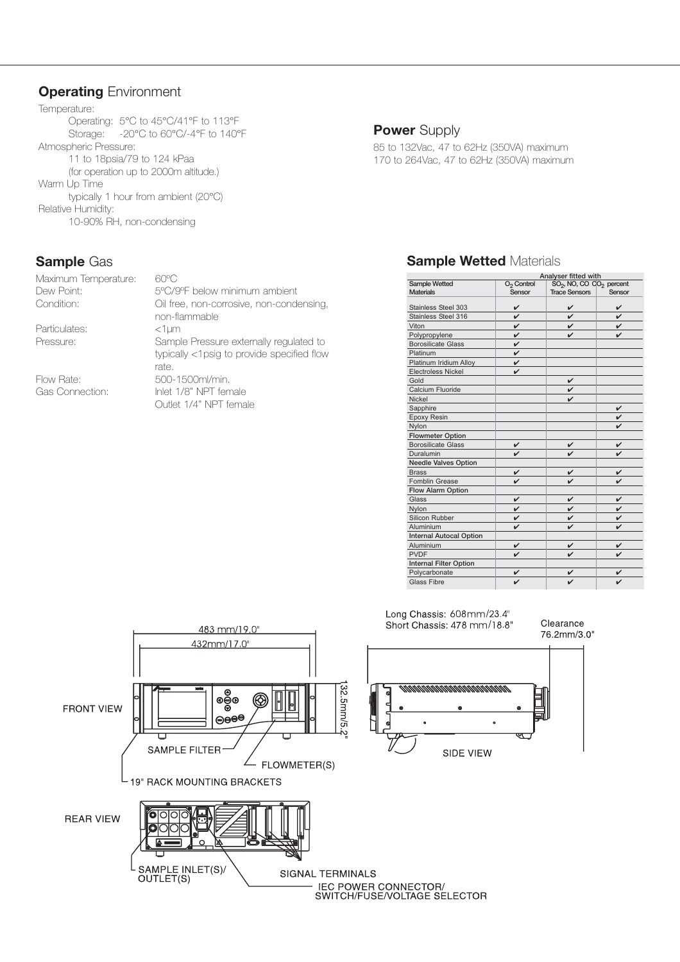## **Operating** Environment

Temperature: Operating: 5°C to 45°C/41°F to 113°F Storage: -20°C to 60°C/-4°F to 140°F Atmospheric Pressure: 11 to 18psia/79 to 124 kPaa (for operation up to 2000m altitude.) Warm Up Time typically 1 hour from ambient (20°C) Relative Humidity: 10-90% RH, non-condensing

## **Sample** Gas

| Maximum Temperature: | 60°C                                                      |
|----------------------|-----------------------------------------------------------|
| Dew Point:           | 5°C/9°F below minimum ambient                             |
| Condition:           | Oil free, non-corrosive, non-condensing,<br>non-flammable |
| Particulates:        | $<1$ µm                                                   |
| Pressure:            | Sample Pressure externally regulated to                   |
|                      | typically <1psig to provide specified flow<br>rate.       |
| Flow Rate:           | 500-1500ml/min.                                           |
| Gas Connection:      | Inlet 1/8" NPT female                                     |
|                      | Outlet 1/4" NPT female                                    |

### **Power** Supply

85 to 132Vac, 47 to 62Hz (350VA) maximum 170 to 264Vac, 47 to 62Hz (350VA) maximum

# **Sample Wetted Materials**

|                                | Analyser fitted with   |                                                  |              |  |  |
|--------------------------------|------------------------|--------------------------------------------------|--------------|--|--|
| Sample Wetted                  | O <sub>2</sub> Control | SO <sub>2</sub> , NO, CO CO <sub>2</sub> percent |              |  |  |
| <b>Materials</b>               | Sensor                 | <b>Trace Sensors</b>                             | Sensor       |  |  |
| Stainless Steel 303            | v                      |                                                  |              |  |  |
| Stainless Steel 316            | ✓                      | ✓                                                | $\mathbf{v}$ |  |  |
| Viton                          | v                      | ✓                                                | V            |  |  |
| Polypropylene                  | V                      | ✓                                                |              |  |  |
| <b>Borosilicate Glass</b>      | v                      |                                                  |              |  |  |
| Platinum                       | V                      |                                                  |              |  |  |
| Platinum Iridium Alloy         | v                      |                                                  |              |  |  |
| <b>Electroless Nickel</b>      | $\mathbf{v}$           |                                                  |              |  |  |
| Gold                           |                        | v                                                |              |  |  |
| Calcium Fluoride               |                        | v                                                |              |  |  |
| Nickel                         |                        | ✓                                                |              |  |  |
| Sapphire                       |                        |                                                  | v            |  |  |
| Epoxy Resin                    |                        |                                                  |              |  |  |
| Nylon                          |                        |                                                  |              |  |  |
| <b>Flowmeter Option</b>        |                        |                                                  |              |  |  |
| <b>Borosilicate Glass</b>      | v                      |                                                  | v            |  |  |
| Duralumin                      |                        |                                                  |              |  |  |
| <b>Needle Valves Option</b>    |                        |                                                  |              |  |  |
| <b>Brass</b>                   | V                      | V                                                | ✓            |  |  |
| <b>Fomblin Grease</b>          |                        | ✓                                                |              |  |  |
| Flow Alarm Option              |                        |                                                  |              |  |  |
| Glass                          | v                      | v                                                | v            |  |  |
| Nylon                          | V                      | $\mathbf{v}$                                     | $\mathbf{v}$ |  |  |
| Silicon Rubber                 | v                      | v                                                | v            |  |  |
| Aluminium                      | v                      | ✓                                                |              |  |  |
| <b>Internal Autocal Option</b> |                        |                                                  |              |  |  |
| Aluminium                      | v                      | v                                                | v            |  |  |
| <b>PVDF</b>                    |                        |                                                  |              |  |  |
| <b>Internal Filter Option</b>  |                        |                                                  |              |  |  |
| Polycarbonate                  |                        |                                                  |              |  |  |
| <b>Glass Fibre</b>             |                        |                                                  |              |  |  |



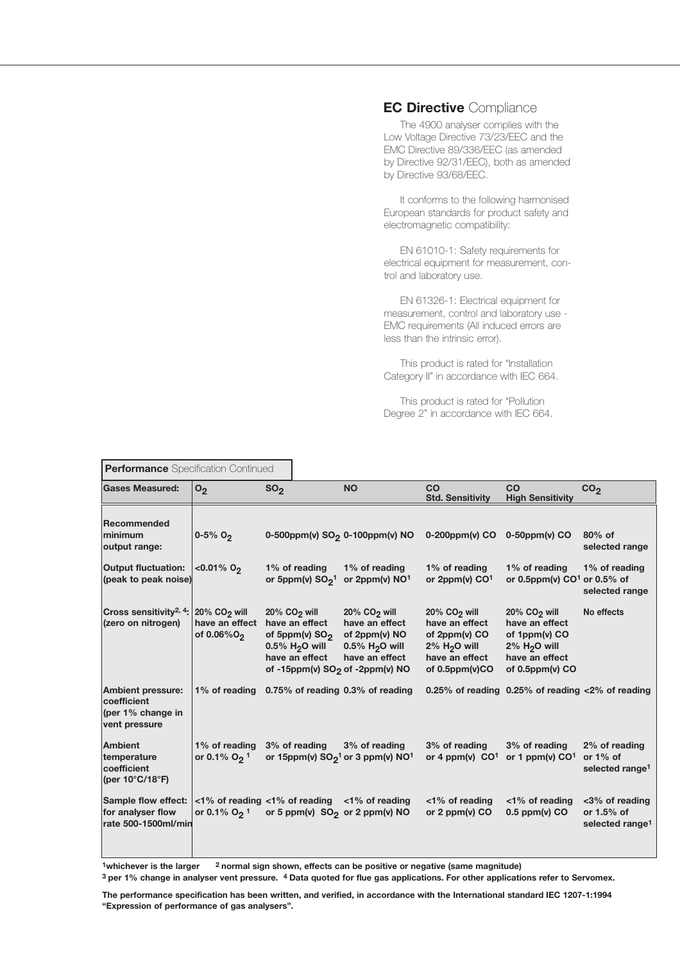#### **EC Directive** Compliance

The 4900 analyser complies with the Low Voltage Directive 73/23/EEC and the EMC Directive 89/336/EEC (as amended by Directive 92/31/EEC), both as amended by Directive 93/68/EEC.

It conforms to the following harmonised European standards for product safety and electromagnetic compatibility:

EN 61010-1: Safety requirements for electrical equipment for measurement, control and laboratory use.

EN 61326-1: Electrical equipment for measurement, control and laboratory use - EMC requirements (All induced errors are less than the intrinsic error).

This product is rated for "Installation Category II" in accordance with IEC 664.

This product is rated for "Pollution Degree 2" in accordance with IEC 664.

| <b>Performance</b> Specification Continued                                         |                                             |                                                                                                                                                       |                                                                                                  |                                                                                                                                      |                                                                                                                             |                                                               |
|------------------------------------------------------------------------------------|---------------------------------------------|-------------------------------------------------------------------------------------------------------------------------------------------------------|--------------------------------------------------------------------------------------------------|--------------------------------------------------------------------------------------------------------------------------------------|-----------------------------------------------------------------------------------------------------------------------------|---------------------------------------------------------------|
| <b>Gases Measured:</b>                                                             | O <sub>2</sub>                              | SO <sub>2</sub>                                                                                                                                       | <b>NO</b>                                                                                        | CO<br><b>Std. Sensitivity</b>                                                                                                        | CO<br><b>High Sensitivity</b>                                                                                               | CO <sub>2</sub>                                               |
| Recommended<br>minimum<br>output range:                                            | $0 - 5%$ O <sub>2</sub>                     | 0-500ppm(v) SO <sub>2</sub> 0-100ppm(v) NO                                                                                                            |                                                                                                  | $0-200$ ppm(v) CO                                                                                                                    | $0-50$ ppm(v) CO                                                                                                            | 80% of<br>selected range                                      |
| <b>Output fluctuation:</b><br>(peak to peak noise)                                 | $< 0.01\%$ O <sub>2</sub>                   | 1% of reading<br>or 5ppm(v) $SO21$                                                                                                                    | 1% of reading<br>or 2ppm(v) NO <sup>1</sup>                                                      | 1% of reading<br>or $2ppm(v)$ CO <sup>1</sup>                                                                                        | 1% of reading<br>or 0.5ppm(v) $CO1$ or 0.5% of                                                                              | 1% of reading<br>selected range                               |
| Cross sensitivity <sup>2, 4</sup> : 20% CO <sub>2</sub> will<br>(zero on nitrogen) | have an effect<br>of 0.06%O <sub>2</sub>    | $20\%$ CO <sub>2</sub> will<br>have an effect<br>of 5ppm(v) $SO2$<br>0.5% $H2O$ will<br>have an effect<br>of -15ppm(v) SO <sub>2</sub> of -2ppm(v) NO | 20% CO <sub>2</sub> will<br>have an effect<br>of 2ppm(v) NO<br>0.5% $H2O$ will<br>have an effect | 20% CO <sub>2</sub> will<br>have an effect<br>of 2ppm(v) CO<br>$2\%$ H <sub>2</sub> O will<br>have an effect<br>of $0.5$ ppm $(v)CO$ | 20% $CO2$ will<br>have an effect<br>of 1ppm(v) CO<br>$2\%$ H <sub>2</sub> O will<br>have an effect<br>of $0.5$ ppm $(v)$ CO | No effects                                                    |
| <b>Ambient pressure:</b><br>coefficient<br>(per 1% change in<br>vent pressure      | 1% of reading                               | 0.75% of reading 0.3% of reading                                                                                                                      |                                                                                                  |                                                                                                                                      | 0.25% of reading 0.25% of reading $\langle 2\%$ of reading                                                                  |                                                               |
| Ambient<br>temperature<br>coefficient<br>(per 10 $\degree$ C/18 $\degree$ F)       | 1% of reading<br>or 0.1% $O_2$ <sup>1</sup> | 3% of reading<br>or 15ppm(v) $SO2$ <sup>1</sup> or 3 ppm(v) NO <sup>1</sup>                                                                           | 3% of reading                                                                                    | 3% of reading<br>or 4 ppm(v) $CO1$                                                                                                   | 3% of reading<br>or 1 ppm(v) $CO1$                                                                                          | 2% of reading<br>or $1\%$ of<br>selected range <sup>1</sup>   |
| Sample flow effect:<br>for analyser flow<br>rate 500-1500ml/min                    | or 0.1% O <sub>2</sub> <sup>1</sup>         | $\langle 1\%$ of reading $\langle 1\%$ of reading $\langle 1\%$ of reading<br>or 5 ppm(v) SO <sub>2</sub> or 2 ppm(v) NO                              |                                                                                                  | $<$ 1% of reading<br>or $2$ ppm(v) $CO$                                                                                              | $<$ 1% of reading<br>$0.5$ ppm(v) CO                                                                                        | <3% of reading<br>or $1.5%$ of<br>selected range <sup>1</sup> |

**1whichever is the larger 2 normal sign shown, effects can be positive or negative (same magnitude)**

**3 per 1% change in analyser vent pressure. 4 Data quoted for flue gas applications. For other applications refer to Servomex.**

**The performance specification has been written, and verified, in accordance with the International standard IEC 1207-1:1994 "Expression of performance of gas analysers".**